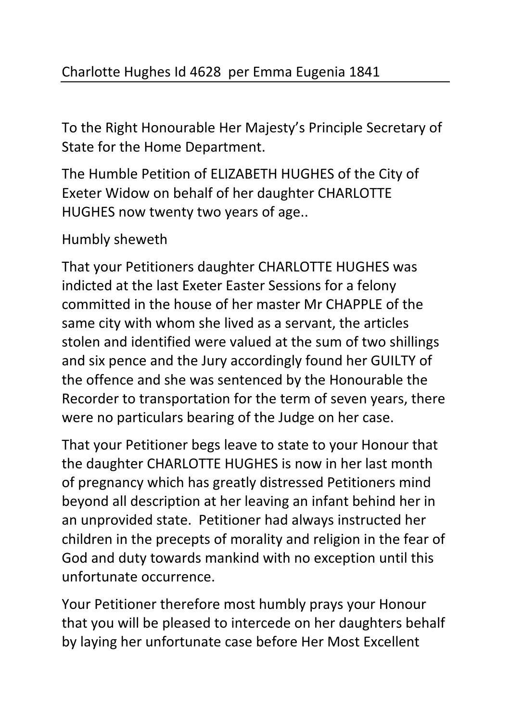To the Right Honourable Her Majesty's Principle Secretary of State for the Home Department.

The Humble Petition of ELIZABETH HUGHES of the City of Exeter Widow on behalf of her daughter CHARLOTTE HUGHES now twenty two years of age..

Humbly sheweth

That your Petitioners daughter CHARLOTTE HUGHES was indicted at the last Exeter Easter Sessions for a felony committed in the house of her master Mr CHAPPLE of the same city with whom she lived as a servant, the articles stolen and identified were valued at the sum of two shillings and six pence and the Jury accordingly found her GUILTY of the offence and she was sentenced by the Honourable the Recorder to transportation for the term of seven years, there were no particulars bearing of the Judge on her case.

That your Petitioner begs leave to state to your Honour that the daughter CHARLOTTE HUGHES is now in her last month of pregnancy which has greatly distressed Petitioners mind beyond all description at her leaving an infant behind her in an unprovided state. Petitioner had always instructed her children in the precepts of morality and religion in the fear of God and duty towards mankind with no exception until this unfortunate occurrence.

Your Petitioner therefore most humbly prays your Honour that you will be pleased to intercede on her daughters behalf by laying her unfortunate case before Her Most Excellent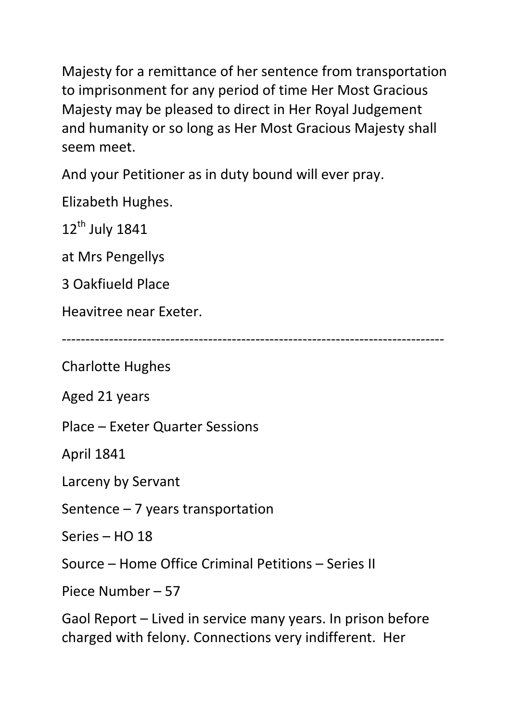Majesty for a remittance of her sentence from transportation to imprisonment for any period of time Her Most Gracious Majesty may be pleased to direct in Her Royal Judgement and humanity or so long as Her Most Gracious Majesty shall seem meet.

And your Petitioner as in duty bound will ever pray.

Elizabeth Hughes.

 $12^{th}$  July 1841

at Mrs Pengellys

3 Oakfiueld Place

Heavitree near Exeter.

---------------------------------------------------------------------------------

Charlotte Hughes

Aged 21 years

Place – Exeter Quarter Sessions

April 1841

Larceny by Servant

Sentence – 7 years transportation

Series – HO 18

Source – Home Office Criminal Petitions – Series II

Piece Number – 57

Gaol Report – Lived in service many years. In prison before charged with felony. Connections very indifferent. Her